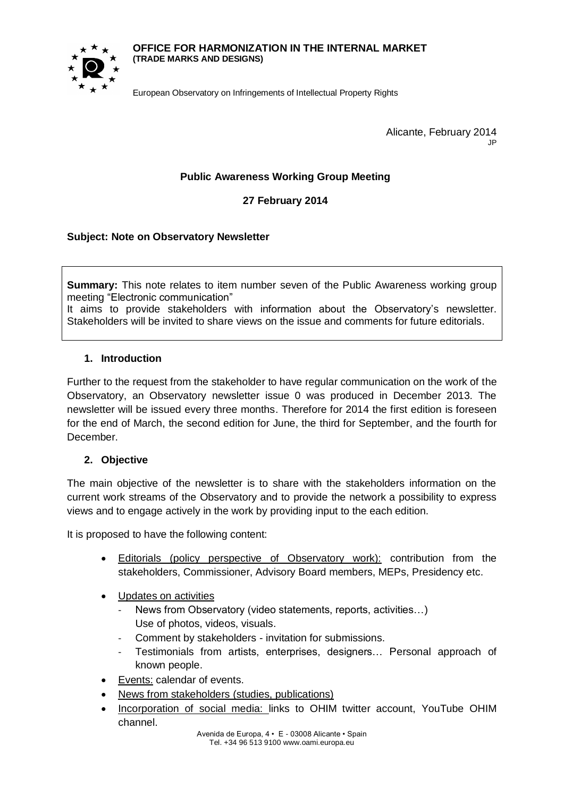#### **OFFICE FOR HARMONIZATION IN THE INTERNAL MARKET (TRADE MARKS AND DESIGNS)**



European Observatory on Infringements of Intellectual Property Rights

Alicante, February 2014 JP

# **Public Awareness Working Group Meeting**

**27 February 2014**

## **Subject: Note on Observatory Newsletter**

**Summary:** This note relates to item number seven of the Public Awareness working group meeting "Electronic communication"

It aims to provide stakeholders with information about the Observatory's newsletter. Stakeholders will be invited to share views on the issue and comments for future editorials.

### **1. Introduction**

Further to the request from the stakeholder to have regular communication on the work of the Observatory, an Observatory newsletter issue 0 was produced in December 2013. The newsletter will be issued every three months. Therefore for 2014 the first edition is foreseen for the end of March, the second edition for June, the third for September, and the fourth for December.

### **2. Objective**

The main objective of the newsletter is to share with the stakeholders information on the current work streams of the Observatory and to provide the network a possibility to express views and to engage actively in the work by providing input to the each edition.

It is proposed to have the following content:

- Editorials (policy perspective of Observatory work): contribution from the stakeholders, Commissioner, Advisory Board members, MEPs, Presidency etc.
- Updates on activities
	- News from Observatory (video statements, reports, activities...) Use of photos, videos, visuals.
	- Comment by stakeholders invitation for submissions.
	- Testimonials from artists, enterprises, designers... Personal approach of known people.
- Events: calendar of events.
- News from stakeholders (studies, publications)
- Incorporation of social media: links to OHIM twitter account, YouTube OHIM channel.